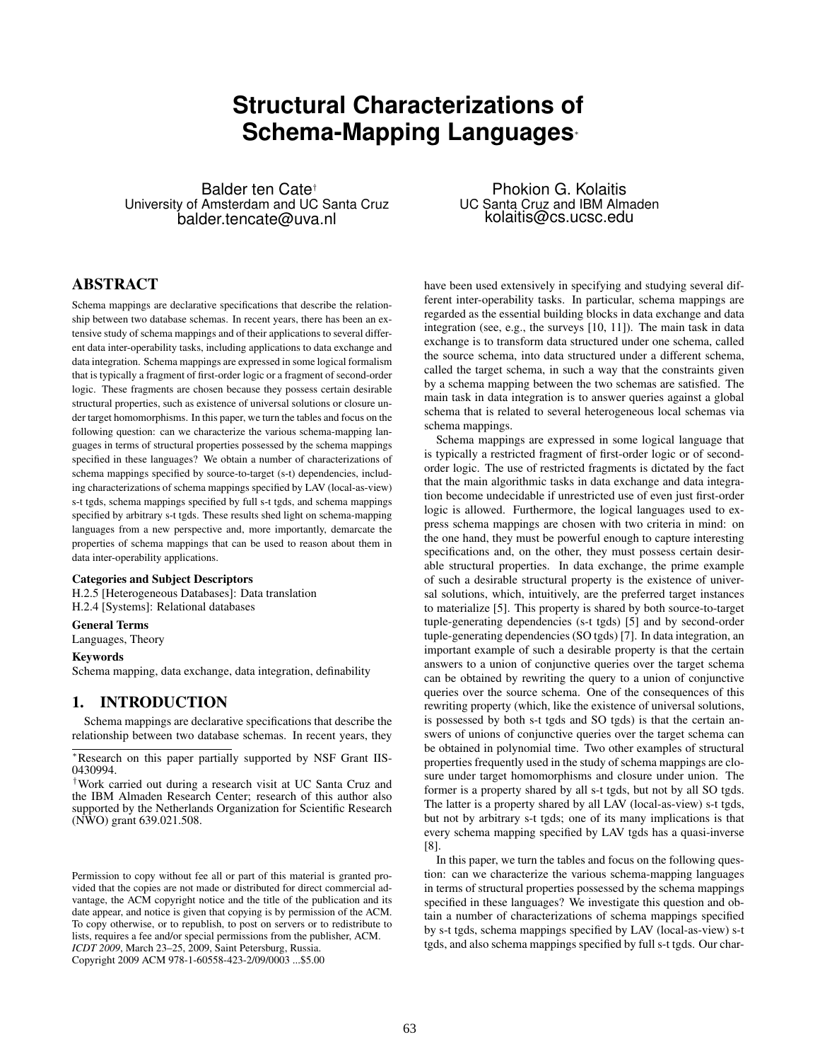# **Structural Characterizations of Schema-Mapping Languages**<sup>∗</sup>

Balder ten Cate† University of Amsterdam and UC Santa Cruz balder.tencate@uva.nl

### ABSTRACT

Schema mappings are declarative specifications that describe the relationship between two database schemas. In recent years, there has been an extensive study of schema mappings and of their applications to several different data inter-operability tasks, including applications to data exchange and data integration. Schema mappings are expressed in some logical formalism that is typically a fragment of first-order logic or a fragment of second-order logic. These fragments are chosen because they possess certain desirable structural properties, such as existence of universal solutions or closure under target homomorphisms. In this paper, we turn the tables and focus on the following question: can we characterize the various schema-mapping languages in terms of structural properties possessed by the schema mappings specified in these languages? We obtain a number of characterizations of schema mappings specified by source-to-target (s-t) dependencies, including characterizations of schema mappings specified by LAV (local-as-view) s-t tgds, schema mappings specified by full s-t tgds, and schema mappings specified by arbitrary s-t tgds. These results shed light on schema-mapping languages from a new perspective and, more importantly, demarcate the properties of schema mappings that can be used to reason about them in data inter-operability applications.

#### Categories and Subject Descriptors

H.2.5 [Heterogeneous Databases]: Data translation H.2.4 [Systems]: Relational databases

#### General Terms

Languages, Theory

#### Keywords

Schema mapping, data exchange, data integration, definability

### 1. INTRODUCTION

Schema mappings are declarative specifications that describe the relationship between two database schemas. In recent years, they

Copyright 2009 ACM 978-1-60558-423-2/09/0003 ...\$5.00

Phokion G. Kolaitis UC Santa Cruz and IBM Almaden kolaitis@cs.ucsc.edu

have been used extensively in specifying and studying several different inter-operability tasks. In particular, schema mappings are regarded as the essential building blocks in data exchange and data integration (see, e.g., the surveys [10, 11]). The main task in data exchange is to transform data structured under one schema, called the source schema, into data structured under a different schema, called the target schema, in such a way that the constraints given by a schema mapping between the two schemas are satisfied. The main task in data integration is to answer queries against a global schema that is related to several heterogeneous local schemas via schema mappings.

Schema mappings are expressed in some logical language that is typically a restricted fragment of first-order logic or of secondorder logic. The use of restricted fragments is dictated by the fact that the main algorithmic tasks in data exchange and data integration become undecidable if unrestricted use of even just first-order logic is allowed. Furthermore, the logical languages used to express schema mappings are chosen with two criteria in mind: on the one hand, they must be powerful enough to capture interesting specifications and, on the other, they must possess certain desirable structural properties. In data exchange, the prime example of such a desirable structural property is the existence of universal solutions, which, intuitively, are the preferred target instances to materialize [5]. This property is shared by both source-to-target tuple-generating dependencies (s-t tgds) [5] and by second-order tuple-generating dependencies (SO tgds) [7]. In data integration, an important example of such a desirable property is that the certain answers to a union of conjunctive queries over the target schema can be obtained by rewriting the query to a union of conjunctive queries over the source schema. One of the consequences of this rewriting property (which, like the existence of universal solutions, is possessed by both s-t tgds and SO tgds) is that the certain answers of unions of conjunctive queries over the target schema can be obtained in polynomial time. Two other examples of structural properties frequently used in the study of schema mappings are closure under target homomorphisms and closure under union. The former is a property shared by all s-t tgds, but not by all SO tgds. The latter is a property shared by all LAV (local-as-view) s-t tgds, but not by arbitrary s-t tgds; one of its many implications is that every schema mapping specified by LAV tgds has a quasi-inverse [8].

In this paper, we turn the tables and focus on the following question: can we characterize the various schema-mapping languages in terms of structural properties possessed by the schema mappings specified in these languages? We investigate this question and obtain a number of characterizations of schema mappings specified by s-t tgds, schema mappings specified by LAV (local-as-view) s-t tgds, and also schema mappings specified by full s-t tgds. Our char-

<sup>∗</sup>Research on this paper partially supported by NSF Grant IIS-0430994.

<sup>†</sup>Work carried out during a research visit at UC Santa Cruz and the IBM Almaden Research Center; research of this author also supported by the Netherlands Organization for Scientific Research (NWO) grant 639.021.508.

Permission to copy without fee all or part of this material is granted provided that the copies are not made or distributed for direct commercial advantage, the ACM copyright notice and the title of the publication and its date appear, and notice is given that copying is by permission of the ACM. To copy otherwise, or to republish, to post on servers or to redistribute to lists, requires a fee and/or special permissions from the publisher, ACM. *ICDT 2009*, March 23–25, 2009, Saint Petersburg, Russia.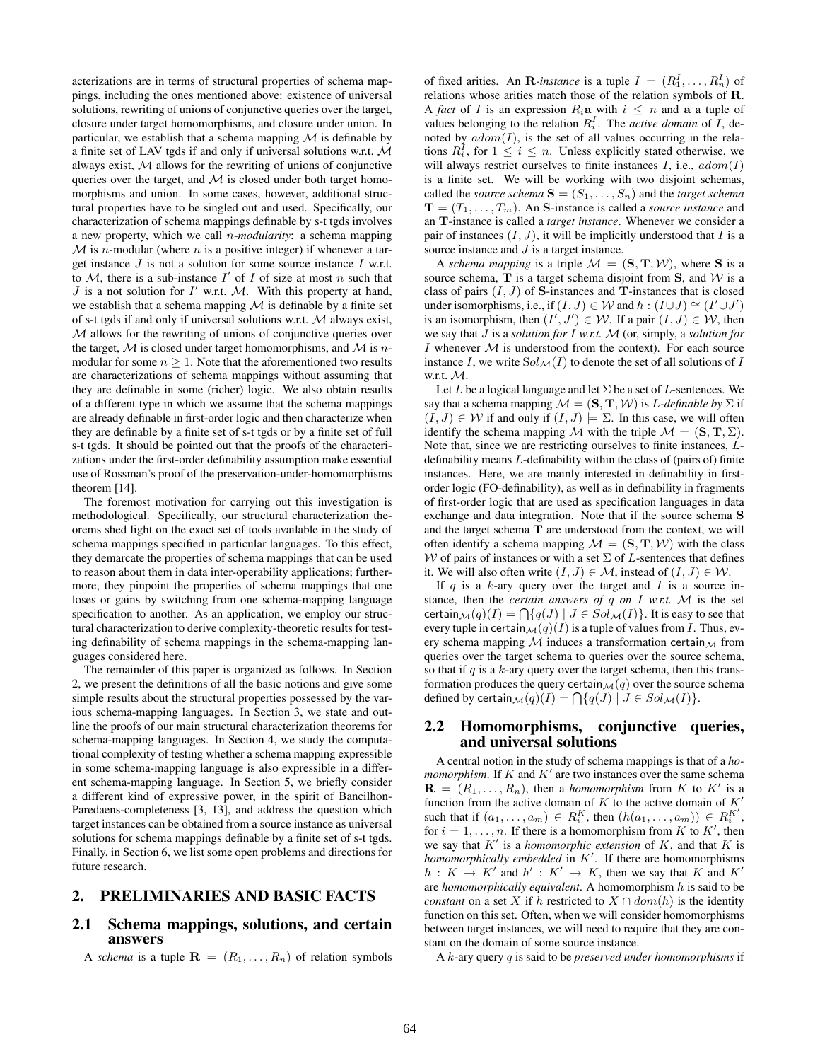acterizations are in terms of structural properties of schema mappings, including the ones mentioned above: existence of universal solutions, rewriting of unions of conjunctive queries over the target, closure under target homomorphisms, and closure under union. In particular, we establish that a schema mapping  $M$  is definable by a finite set of LAV tgds if and only if universal solutions w.r.t. M always exist,  $M$  allows for the rewriting of unions of conjunctive queries over the target, and  $M$  is closed under both target homomorphisms and union. In some cases, however, additional structural properties have to be singled out and used. Specifically, our characterization of schema mappings definable by s-t tgds involves a new property, which we call n-*modularity*: a schema mapping  $M$  is *n*-modular (where *n* is a positive integer) if whenever a target instance  $J$  is not a solution for some source instance  $I$  w.r.t. to M, there is a sub-instance  $I'$  of I of size at most n such that  $J$  is a not solution for  $I'$  w.r.t.  $M$ . With this property at hand, we establish that a schema mapping  $M$  is definable by a finite set of s-t tgds if and only if universal solutions w.r.t. M always exist, M allows for the rewriting of unions of conjunctive queries over the target,  $M$  is closed under target homomorphisms, and  $M$  is nmodular for some  $n \geq 1$ . Note that the aforementioned two results are characterizations of schema mappings without assuming that they are definable in some (richer) logic. We also obtain results of a different type in which we assume that the schema mappings are already definable in first-order logic and then characterize when they are definable by a finite set of s-t tgds or by a finite set of full s-t tgds. It should be pointed out that the proofs of the characterizations under the first-order definability assumption make essential use of Rossman's proof of the preservation-under-homomorphisms theorem [14].

The foremost motivation for carrying out this investigation is methodological. Specifically, our structural characterization theorems shed light on the exact set of tools available in the study of schema mappings specified in particular languages. To this effect, they demarcate the properties of schema mappings that can be used to reason about them in data inter-operability applications; furthermore, they pinpoint the properties of schema mappings that one loses or gains by switching from one schema-mapping language specification to another. As an application, we employ our structural characterization to derive complexity-theoretic results for testing definability of schema mappings in the schema-mapping languages considered here.

The remainder of this paper is organized as follows. In Section 2, we present the definitions of all the basic notions and give some simple results about the structural properties possessed by the various schema-mapping languages. In Section 3, we state and outline the proofs of our main structural characterization theorems for schema-mapping languages. In Section 4, we study the computational complexity of testing whether a schema mapping expressible in some schema-mapping language is also expressible in a different schema-mapping language. In Section 5, we briefly consider a different kind of expressive power, in the spirit of Bancilhon-Paredaens-completeness [3, 13], and address the question which target instances can be obtained from a source instance as universal solutions for schema mappings definable by a finite set of s-t tgds. Finally, in Section 6, we list some open problems and directions for future research.

### 2. PRELIMINARIES AND BASIC FACTS

### 2.1 Schema mappings, solutions, and certain answers

A *schema* is a tuple  $\mathbf{R} = (R_1, \dots, R_n)$  of relation symbols

of fixed arities. An **R**-instance is a tuple  $I = (R_1^I, \dots, R_n^I)$  of relations whose arities match those of the relation symbols of R. A *fact* of *I* is an expression  $R_i$ **a** with  $i \leq n$  and **a** a tuple of values belonging to the relation  $R_i^I$ . The *active domain* of  $\overline{I}$ , denoted by  $adom(I)$ , is the set of all values occurring in the relations  $R_i^I$ , for  $1 \leq i \leq n$ . Unless explicitly stated otherwise, we will always restrict ourselves to finite instances  $I$ , i.e.,  $adom(I)$ is a finite set. We will be working with two disjoint schemas, called the *source schema*  $S = (S_1, \ldots, S_n)$  and the *target schema*  $\mathbf{T} = (T_1, \ldots, T_m)$ . An S-instance is called a *source instance* and an T-instance is called a *target instance*. Whenever we consider a pair of instances  $(I, J)$ , it will be implicitly understood that I is a source instance and *J* is a target instance.

A *schema mapping* is a triple  $\mathcal{M} = (\mathbf{S}, \mathbf{T}, \mathcal{W})$ , where **S** is a source schema,  $T$  is a target schema disjoint from  $S$ , and  $W$  is a class of pairs  $(I, J)$  of S-instances and T-instances that is closed under isomorphisms, i.e., if  $(I, J) \in W$  and  $h : (I \cup J) \cong (I' \cup J')$ is an isomorphism, then  $(I', J') \in W$ . If a pair  $(I, J) \in W$ , then we say that J is a *solution for* I *w.r.t.* M (or, simply, a *solution for* I whenever  $M$  is understood from the context). For each source instance I, we write  $Sol_{\mathcal{M}}(I)$  to denote the set of all solutions of I w.r.t. M.

Let  $L$  be a logical language and let  $\Sigma$  be a set of  $L$ -sentences. We say that a schema mapping  $\mathcal{M} = (\mathbf{S}, \mathbf{T}, \mathcal{W})$  is *L-definable by*  $\Sigma$  if  $(I, J) \in W$  if and only if  $(I, J) \models \Sigma$ . In this case, we will often identify the schema mapping M with the triple  $\mathcal{M} = (\mathbf{S}, \mathbf{T}, \Sigma)$ . Note that, since we are restricting ourselves to finite instances, Ldefinability means L-definability within the class of (pairs of) finite instances. Here, we are mainly interested in definability in firstorder logic (FO-definability), as well as in definability in fragments of first-order logic that are used as specification languages in data exchange and data integration. Note that if the source schema S and the target schema T are understood from the context, we will often identify a schema mapping  $\mathcal{M} = (\mathbf{S}, \mathbf{T}, \mathcal{W})$  with the class W of pairs of instances or with a set  $\Sigma$  of L-sentences that defines it. We will also often write  $(I, J) \in \mathcal{M}$ , instead of  $(I, J) \in \mathcal{W}$ .

If q is a k-ary query over the target and  $I$  is a source instance, then the *certain answers of* q *on* I *w.r.t.* M is the set certain  $\mathcal{M}(q)(I) = \bigcap \{q(J) \mid J \in Sol_{\mathcal{M}}(I)\}\.$  It is easy to see that every tuple in certain  $\mathcal{M}(q)(I)$  is a tuple of values from I. Thus, every schema mapping  $M$  induces a transformation certain  $M$  from queries over the target schema to queries over the source schema, so that if  $q$  is a  $k$ -ary query over the target schema, then this transformation produces the query certain $\mathcal{M}(q)$  over the source schema defined by certain $\mathcal{M}(q)(I) = \bigcap \{q(J) \mid J \in Sol_{\mathcal{M}}(I)\}.$ 

### 2.2 Homomorphisms, conjunctive queries, and universal solutions

A central notion in the study of schema mappings is that of a *homomorphism*. If  $K$  and  $K'$  are two instances over the same schema  $\mathbf{R} = (R_1, \ldots, R_n)$ , then a *homomorphism* from K to K' is a function from the active domain of K to the active domain of  $K'$ such that if  $(a_1, \ldots, a_m) \in R_i^K$ , then  $(h(a_1, \ldots, a_m)) \in R_i^{K'}$ , for  $i = 1, \ldots, n$ . If there is a homomorphism from K to K', then we say that  $K'$  is a *homomorphic extension* of  $K$ , and that  $K$  is *homomorphically embedded* in  $K'$ . If there are homomorphisms  $h: K \to K'$  and  $h' : K' \to K$ , then we say that K and K' are *homomorphically equivalent*. A homomorphism h is said to be *constant* on a set X if h restricted to  $X \cap dom(h)$  is the identity function on this set. Often, when we will consider homomorphisms between target instances, we will need to require that they are constant on the domain of some source instance.

A k-ary query q is said to be *preserved under homomorphisms* if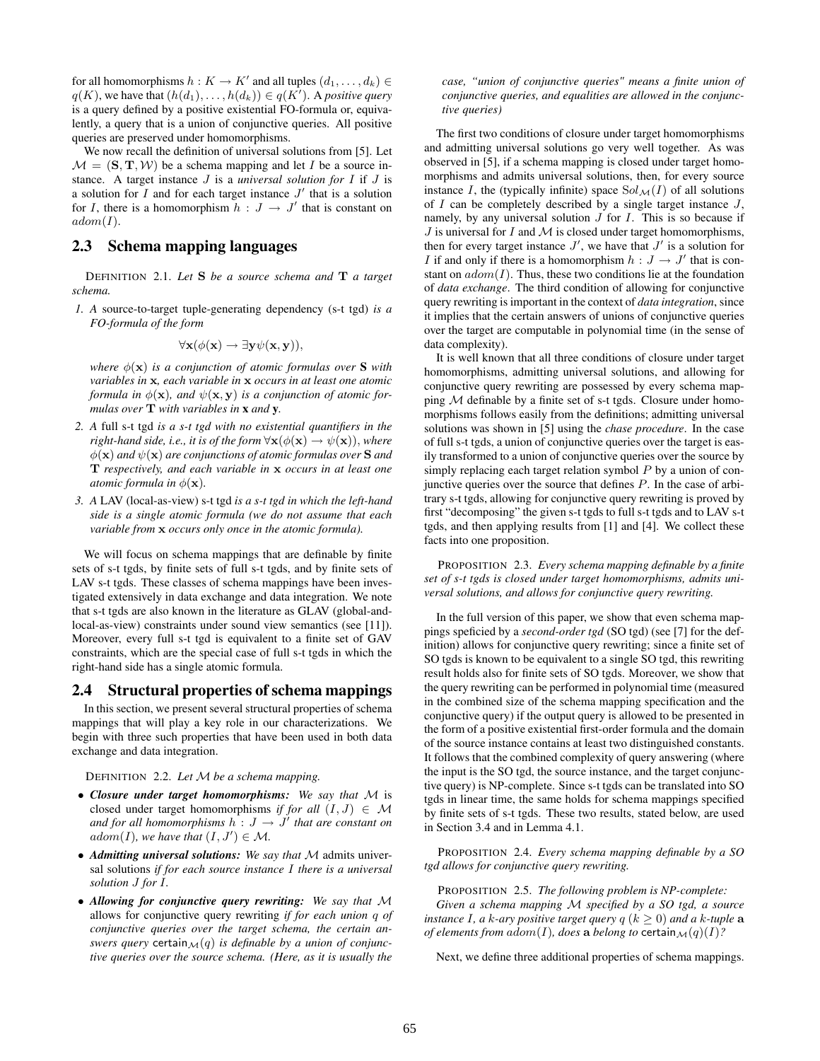for all homomorphisms  $h: K \to K'$  and all tuples  $(d_1, \ldots, d_k) \in$  $q(K)$ , we have that  $(h(d_1), \ldots, h(d_k)) \in q(K')$ . A *positive query* is a query defined by a positive existential FO-formula or, equivalently, a query that is a union of conjunctive queries. All positive queries are preserved under homomorphisms.

We now recall the definition of universal solutions from [5]. Let  $M = (\mathbf{S}, \mathbf{T}, \mathcal{W})$  be a schema mapping and let I be a source instance. A target instance J is a *universal solution for* I if J is a solution for  $I$  and for each target instance  $J'$  that is a solution for I, there is a homomorphism  $h: J \to J'$  that is constant on  $adom(I).$ 

### 2.3 Schema mapping languages

DEFINITION 2.1. *Let* S *be a source schema and* T *a target schema.*

*1. A* source-to-target tuple-generating dependency (s-t tgd) *is a FO-formula of the form*

$$
\forall \mathbf{x}(\phi(\mathbf{x}) \to \exists \mathbf{y} \psi(\mathbf{x}, \mathbf{y})),
$$

*where*  $\phi(\mathbf{x})$  *is a conjunction of atomic formulas over* **S** *with variables in* x*, each variable in* x *occurs in at least one atomic formula in*  $\phi(\mathbf{x})$ *, and*  $\psi(\mathbf{x}, \mathbf{y})$  *is a conjunction of atomic formulas over* T *with variables in* x *and* y*.*

- *2. A* full s-t tgd *is a s-t tgd with no existential quantifiers in the right-hand side, i.e., it is of the form*  $\forall$ **x**( $\phi$ (**x**)  $\rightarrow$   $\psi$ (**x**)), *where*  $\phi(\mathbf{x})$  *and*  $\psi(\mathbf{x})$  *are conjunctions of atomic formulas over* **S** *and* T *respectively, and each variable in* x *occurs in at least one atomic formula in*  $\phi(\mathbf{x})$ *.*
- *3. A* LAV (local-as-view) s-t tgd *is a s-t tgd in which the left-hand side is a single atomic formula (we do not assume that each variable from* x *occurs only once in the atomic formula).*

We will focus on schema mappings that are definable by finite sets of s-t tgds, by finite sets of full s-t tgds, and by finite sets of LAV s-t tgds. These classes of schema mappings have been investigated extensively in data exchange and data integration. We note that s-t tgds are also known in the literature as GLAV (global-andlocal-as-view) constraints under sound view semantics (see [11]). Moreover, every full s-t tgd is equivalent to a finite set of GAV constraints, which are the special case of full s-t tgds in which the right-hand side has a single atomic formula.

### 2.4 Structural properties of schema mappings

In this section, we present several structural properties of schema mappings that will play a key role in our characterizations. We begin with three such properties that have been used in both data exchange and data integration.

DEFINITION 2.2. *Let* M *be a schema mapping.*

- *Closure under target homomorphisms: We say that* M is closed under target homomorphisms *if for all*  $(I, J) \in M$ and for all homomorphisms  $h: J \to J'$  that are constant on adom(I), we have that  $(I, J') \in \mathcal{M}$ .
- *Admitting universal solutions: We say that* M admits universal solutions *if for each source instance* I *there is a universal solution* J *for* I*.*
- *Allowing for conjunctive query rewriting: We say that* M allows for conjunctive query rewriting *if for each union* q *of conjunctive queries over the target schema, the certain answers query* certain $\mathcal{M}(q)$  *is definable by a union of conjunctive queries over the source schema. (Here, as it is usually the*

*case, "union of conjunctive queries" means a finite union of conjunctive queries, and equalities are allowed in the conjunctive queries)*

The first two conditions of closure under target homomorphisms and admitting universal solutions go very well together. As was observed in [5], if a schema mapping is closed under target homomorphisms and admits universal solutions, then, for every source instance I, the (typically infinite) space  $Sol_{\mathcal{M}}(I)$  of all solutions of  $I$  can be completely described by a single target instance  $J$ , namely, by any universal solution  $J$  for  $I$ . This is so because if  $J$  is universal for  $I$  and  $M$  is closed under target homomorphisms, then for every target instance  $J'$ , we have that  $J'$  is a solution for I if and only if there is a homomorphism  $h: J \to J'$  that is constant on  $adom(I)$ . Thus, these two conditions lie at the foundation of *data exchange*. The third condition of allowing for conjunctive query rewriting is important in the context of *data integration*, since it implies that the certain answers of unions of conjunctive queries over the target are computable in polynomial time (in the sense of data complexity).

It is well known that all three conditions of closure under target homomorphisms, admitting universal solutions, and allowing for conjunctive query rewriting are possessed by every schema mapping M definable by a finite set of s-t tgds. Closure under homomorphisms follows easily from the definitions; admitting universal solutions was shown in [5] using the *chase procedure*. In the case of full s-t tgds, a union of conjunctive queries over the target is easily transformed to a union of conjunctive queries over the source by simply replacing each target relation symbol  $P$  by a union of conjunctive queries over the source that defines  $P$ . In the case of arbitrary s-t tgds, allowing for conjunctive query rewriting is proved by first "decomposing" the given s-t tgds to full s-t tgds and to LAV s-t tgds, and then applying results from [1] and [4]. We collect these facts into one proposition.

PROPOSITION 2.3. *Every schema mapping definable by a finite set of s-t tgds is closed under target homomorphisms, admits universal solutions, and allows for conjunctive query rewriting.*

In the full version of this paper, we show that even schema mappings speficied by a *second-order tgd* (SO tgd) (see [7] for the definition) allows for conjunctive query rewriting; since a finite set of SO tgds is known to be equivalent to a single SO tgd, this rewriting result holds also for finite sets of SO tgds. Moreover, we show that the query rewriting can be performed in polynomial time (measured in the combined size of the schema mapping specification and the conjunctive query) if the output query is allowed to be presented in the form of a positive existential first-order formula and the domain of the source instance contains at least two distinguished constants. It follows that the combined complexity of query answering (where the input is the SO tgd, the source instance, and the target conjunctive query) is NP-complete. Since s-t tgds can be translated into SO tgds in linear time, the same holds for schema mappings specified by finite sets of s-t tgds. These two results, stated below, are used in Section 3.4 and in Lemma 4.1.

PROPOSITION 2.4. *Every schema mapping definable by a SO tgd allows for conjunctive query rewriting.*

PROPOSITION 2.5. *The following problem is NP-complete: Given a schema mapping* M *specified by a SO tgd, a source instance I*, *a k*-*ary positive target query*  $q$  ( $k \ge 0$ ) *and a k*-*tuple* **a** *of elements from adom* $(I)$ *, does a belong to* certain $\mathcal{M}(q)(I)$ ?

Next, we define three additional properties of schema mappings.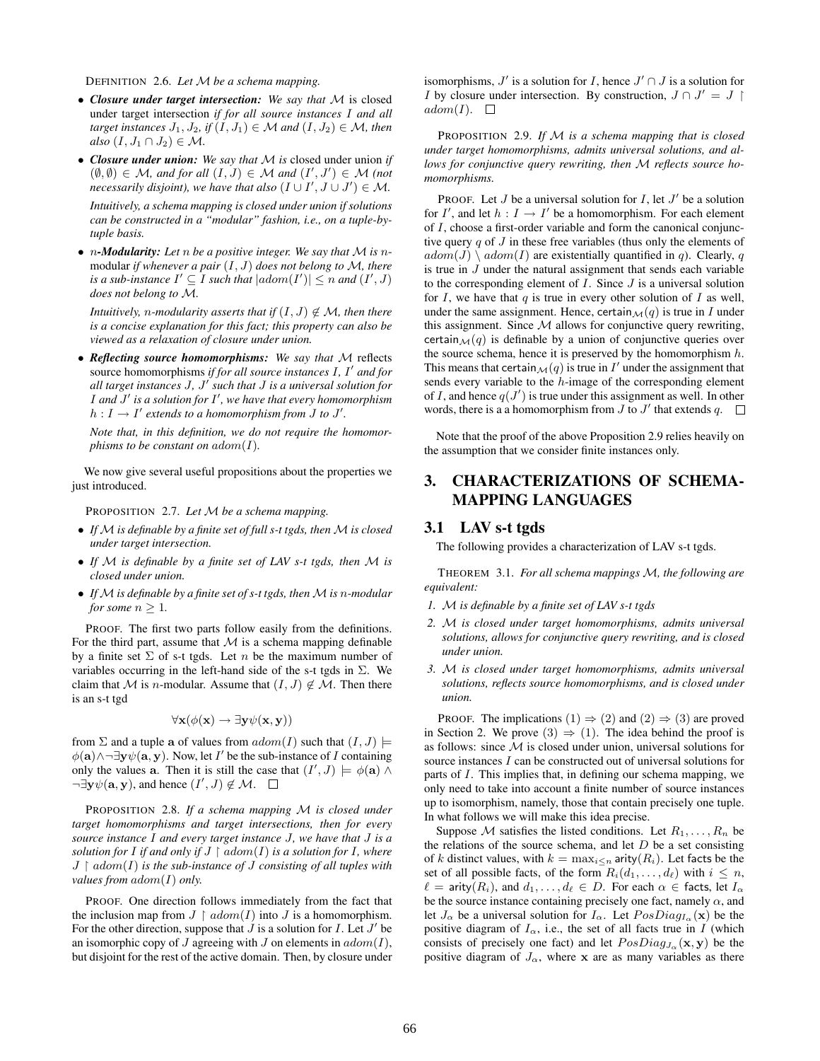DEFINITION 2.6. *Let* M *be a schema mapping.*

- *Closure under target intersection: We say that* M is closed under target intersection *if for all source instances* I *and all target instances*  $J_1, J_2$ , if  $(I, J_1) \in M$  *and*  $(I, J_2) \in M$ *, then*  $also (I, J_1 \cap J_2) \in \mathcal{M}.$
- *Closure under union: We say that* M *is* closed under union *if*  $(\emptyset, \emptyset) \in \mathcal{M}$ , and for all  $(I, J) \in \mathcal{M}$  and  $(I', J') \in \mathcal{M}$  (not *necessarily disjoint), we have that also*  $(I \cup I', J \cup J') \in M$ . *Intuitively, a schema mapping is closed under union if solutions can be constructed in a "modular" fashion, i.e., on a tuple-bytuple basis.*
- n*-Modularity: Let* n *be a positive integer. We say that* M *is* nmodular *if whenever a pair* (I, J) *does not belong to* M*, there is a sub-instance*  $I' \subseteq I$  *such that*  $|adom(I')| \leq n$  *and*  $(I', J)$ *does not belong to* M*.*

*Intuitively, n-modularity asserts that if*  $(I, J) \notin M$ *, then there is a concise explanation for this fact; this property can also be viewed as a relaxation of closure under union.*

• *Reflecting source homomorphisms: We say that* M reflects source homomorphisms *if for all source instances I, I' and for all target instances* J*,* J 0 *such that* J *is a universal solution for* I and  $J'$  is a solution for I', we have that every homomorphism  $h: I \to I'$  extends to a homomorphism from *J* to *J'*.

*Note that, in this definition, we do not require the homomorphisms to be constant on*  $adom(I)$ *.* 

We now give several useful propositions about the properties we just introduced.

PROPOSITION 2.7. *Let* M *be a schema mapping.*

- *If* M *is definable by a finite set of full s-t tgds, then* M *is closed under target intersection.*
- *If* M *is definable by a finite set of LAV s-t tgds, then* M *is closed under union.*
- If M is definable by a finite set of s-t tgds, then M is n-modular *for some*  $n \geq 1$ *.*

PROOF. The first two parts follow easily from the definitions. For the third part, assume that  $M$  is a schema mapping definable by a finite set  $\Sigma$  of s-t tgds. Let n be the maximum number of variables occurring in the left-hand side of the s-t tgds in  $\Sigma$ . We claim that M is n-modular. Assume that  $(I, J) \notin M$ . Then there is an s-t tgd

$$
\forall \mathbf{x}(\phi(\mathbf{x}) \to \exists \mathbf{y} \psi(\mathbf{x}, \mathbf{y}))
$$

from  $\Sigma$  and a tuple a of values from  $adom(I)$  such that  $(I, J) \models$  $\phi(\mathbf{a}) \wedge \neg \exists \mathbf{y} \psi(\mathbf{a}, \mathbf{y})$ . Now, let I' be the sub-instance of I containing only the values **a**. Then it is still the case that  $(I', J) \models \phi(\mathbf{a}) \land \phi(\mathbf{a})$  $\neg \exists y \psi(a, y)$ , and hence  $(I', J) \notin M$ .

PROPOSITION 2.8. *If a schema mapping* M *is closed under target homomorphisms and target intersections, then for every source instance* I *and every target instance* J*, we have that* J *is a solution for* I *if and only if*  $J \restriction \alpha$ *dom* $(I)$  *is a solution for* I, where  $J \restriction addom(I)$  *is the sub-instance of*  $J$  *consisting of all tuples with values from*  $adom(I)$  *only.* 

PROOF. One direction follows immediately from the fact that the inclusion map from  $J \restriction addom(I)$  into  $J$  is a homomorphism. For the other direction, suppose that  $J$  is a solution for  $I$ . Let  $J'$  be an isomorphic copy of  $J$  agreeing with  $J$  on elements in  $adom(I)$ , but disjoint for the rest of the active domain. Then, by closure under

isomorphisms,  $J'$  is a solution for I, hence  $J' \cap J$  is a solution for *I* by closure under intersection. By construction,  $J ∩ J' = J$  $adom(I). \square$ 

PROPOSITION 2.9. *If* M *is a schema mapping that is closed under target homomorphisms, admits universal solutions, and allows for conjunctive query rewriting, then* M *reflects source homomorphisms.*

PROOF. Let  $J$  be a universal solution for  $I$ , let  $J'$  be a solution for  $I'$ , and let  $h: I \to I'$  be a homomorphism. For each element of I, choose a first-order variable and form the canonical conjunctive query  $q$  of  $J$  in these free variables (thus only the elements of  $adom(J) \setminus adom(I)$  are existentially quantified in q). Clearly, q is true in J under the natural assignment that sends each variable to the corresponding element of  $I$ . Since  $J$  is a universal solution for I, we have that  $q$  is true in every other solution of I as well, under the same assignment. Hence, certain  $\mathcal{M}(q)$  is true in I under this assignment. Since  $M$  allows for conjunctive query rewriting, certain  $\mathcal{M}(q)$  is definable by a union of conjunctive queries over the source schema, hence it is preserved by the homomorphism  $h$ . This means that certain  $\mathcal{M}(q)$  is true in  $I'$  under the assignment that sends every variable to the h-image of the corresponding element of I, and hence  $q(J')$  is true under this assignment as well. In other words, there is a a homomorphism from  $J$  to  $J'$  that extends  $q$ .

Note that the proof of the above Proposition 2.9 relies heavily on the assumption that we consider finite instances only.

# 3. CHARACTERIZATIONS OF SCHEMA-MAPPING LANGUAGES

### 3.1 LAV s-t tgds

The following provides a characterization of LAV s-t tgds.

THEOREM 3.1. *For all schema mappings* M*, the following are equivalent:*

- *1.* M *is definable by a finite set of LAV s-t tgds*
- *2.* M *is closed under target homomorphisms, admits universal solutions, allows for conjunctive query rewriting, and is closed under union.*
- *3.* M *is closed under target homomorphisms, admits universal solutions, reflects source homomorphisms, and is closed under union.*

PROOF. The implications  $(1) \Rightarrow (2)$  and  $(2) \Rightarrow (3)$  are proved in Section 2. We prove (3)  $\Rightarrow$  (1). The idea behind the proof is as follows: since  $M$  is closed under union, universal solutions for source instances I can be constructed out of universal solutions for parts of I. This implies that, in defining our schema mapping, we only need to take into account a finite number of source instances up to isomorphism, namely, those that contain precisely one tuple. In what follows we will make this idea precise.

Suppose M satisfies the listed conditions. Let  $R_1, \ldots, R_n$  be the relations of the source schema, and let  $D$  be a set consisting of k distinct values, with  $k = \max_{i \leq n}$  arity( $R_i$ ). Let facts be the set of all possible facts, of the form  $R_i(d_1, \ldots, d_\ell)$  with  $i \leq n$ ,  $\ell = \text{arity}(R_i)$ , and  $d_1, \ldots, d_\ell \in D$ . For each  $\alpha \in \text{facts, let } I_\alpha$ be the source instance containing precisely one fact, namely  $\alpha$ , and let  $J_{\alpha}$  be a universal solution for  $I_{\alpha}$ . Let  $PosDiag_{I_{\alpha}}(\mathbf{x})$  be the positive diagram of  $I_{\alpha}$ , i.e., the set of all facts true in I (which consists of precisely one fact) and let  $PosDiag_{J_{\alpha}}(\mathbf{x}, \mathbf{y})$  be the positive diagram of  $J_{\alpha}$ , where x are as many variables as there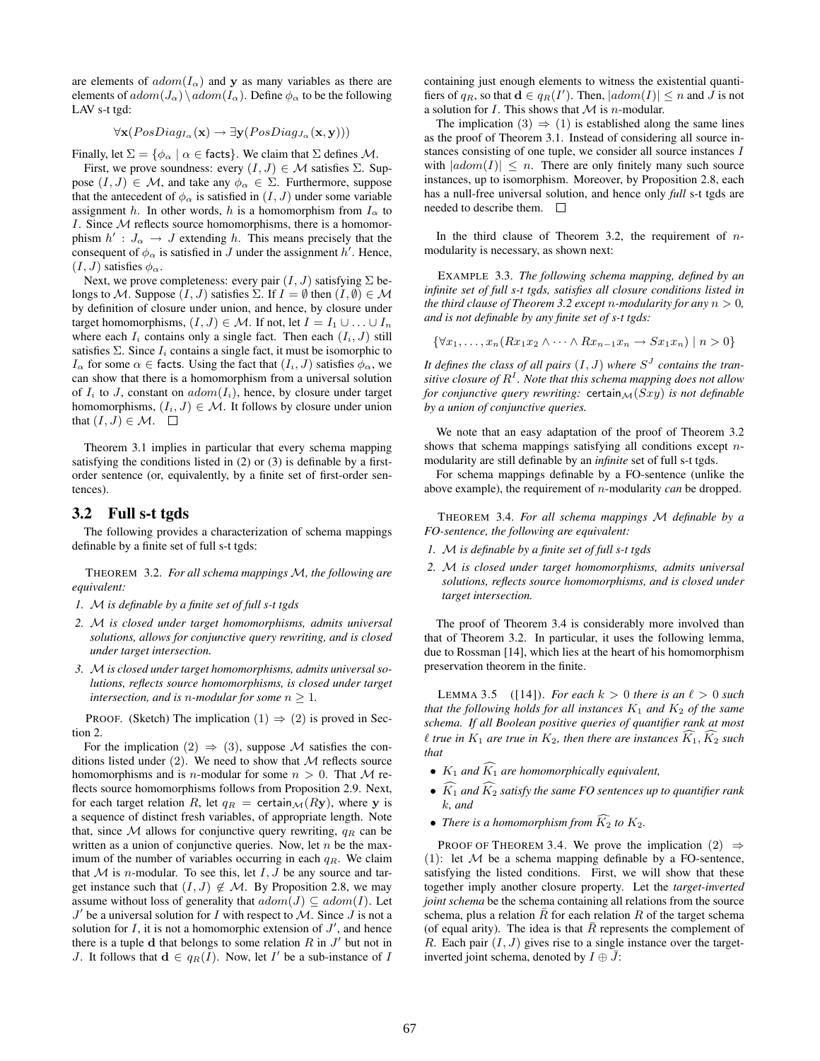are elements of  $adom(I_{\alpha})$  and y as many variables as there are elements of  $adom(J_{\alpha})\setminus adom(I_{\alpha})$ . Define  $\phi_{\alpha}$  to be the following LAV s-t tgd:

$$
\forall \mathbf{x}(PosDiag_{I_{\alpha}}(\mathbf{x}) \rightarrow \exists \mathbf{y}(PosDiag_{J_{\alpha}}(\mathbf{x}, \mathbf{y})))
$$

Finally, let  $\Sigma = \{\phi_{\alpha} \mid \alpha \in \text{facts}\}\$ . We claim that  $\Sigma$  defines  $\mathcal{M}$ .

First, we prove soundness: every  $(I, J) \in \mathcal{M}$  satisfies  $\Sigma$ . Suppose  $(I, J) \in \mathcal{M}$ , and take any  $\phi_{\alpha} \in \Sigma$ . Furthermore, suppose that the antecedent of  $\phi_{\alpha}$  is satisfied in  $(I, J)$  under some variable assignment h. In other words, h is a homomorphism from  $I_{\alpha}$  to I. Since  $M$  reflects source homomorphisms, there is a homomorphism  $h' : J_\alpha \to J$  extending h. This means precisely that the consequent of  $\phi_{\alpha}$  is satisfied in J under the assignment h'. Hence,  $(I, J)$  satisfies  $\phi_{\alpha}$ .

Next, we prove completeness: every pair  $(I, J)$  satisfying  $\Sigma$  belongs to M. Suppose  $(I, J)$  satisfies  $\Sigma$ . If  $I = \emptyset$  then  $(I, \emptyset) \in \mathcal{M}$ by definition of closure under union, and hence, by closure under target homomorphisms,  $(I, J) \in \mathcal{M}$ . If not, let  $I = I_1 \cup \ldots \cup I_n$ where each  $I_i$  contains only a single fact. Then each  $(I_i, J)$  still satisfies  $\Sigma$ . Since  $I_i$  contains a single fact, it must be isomorphic to  $I_{\alpha}$  for some  $\alpha \in$  facts. Using the fact that  $(I_i, J)$  satisfies  $\phi_{\alpha}$ , we can show that there is a homomorphism from a universal solution of  $I_i$  to J, constant on  $adom(I_i)$ , hence, by closure under target homomorphisms,  $(I_i, J) \in \mathcal{M}$ . It follows by closure under union that  $(I, J) \in \mathcal{M}$ .  $\Box$ 

Theorem 3.1 implies in particular that every schema mapping satisfying the conditions listed in (2) or (3) is definable by a firstorder sentence (or, equivalently, by a finite set of first-order sentences).

### 3.2 Full s-t tgds

The following provides a characterization of schema mappings definable by a finite set of full s-t tgds:

THEOREM 3.2. *For all schema mappings* M*, the following are equivalent:*

- *1.* M *is definable by a finite set of full s-t tgds*
- *2.* M *is closed under target homomorphisms, admits universal solutions, allows for conjunctive query rewriting, and is closed under target intersection.*
- *3.* M*is closed under target homomorphisms, admits universal solutions, reflects source homomorphisms, is closed under target intersection, and is n-modular for some*  $n \geq 1$ *.*

PROOF. (Sketch) The implication  $(1) \Rightarrow (2)$  is proved in Section 2.

For the implication (2)  $\Rightarrow$  (3), suppose M satisfies the conditions listed under  $(2)$ . We need to show that M reflects source homomorphisms and is *n*-modular for some  $n > 0$ . That M reflects source homomorphisms follows from Proposition 2.9. Next, for each target relation R, let  $q_R$  = certain  $\mathcal{M}(Ry)$ , where y is a sequence of distinct fresh variables, of appropriate length. Note that, since  $\mathcal M$  allows for conjunctive query rewriting,  $q_R$  can be written as a union of conjunctive queries. Now, let  $n$  be the maximum of the number of variables occurring in each  $q_R$ . We claim that  $M$  is *n*-modular. To see this, let  $I, J$  be any source and target instance such that  $(I, J) \notin M$ . By Proposition 2.8, we may assume without loss of generality that  $adom(J) \subseteq adom(I)$ . Let  $J'$  be a universal solution for I with respect to  $M$ . Since  $J$  is not a solution for  $I$ , it is not a homomorphic extension of  $J'$ , and hence there is a tuple d that belongs to some relation  $R$  in  $J'$  but not in J. It follows that  $\mathbf{d} \in q_R(I)$ . Now, let I' be a sub-instance of I

containing just enough elements to witness the existential quantifiers of  $q_R$ , so that  $\mathbf{d} \in q_R(I')$ . Then,  $|adom(I)| \leq n$  and  $\overline{J}$  is not a solution for  $I$ . This shows that  $M$  is *n*-modular.

The implication  $(3) \Rightarrow (1)$  is established along the same lines as the proof of Theorem 3.1. Instead of considering all source instances consisting of one tuple, we consider all source instances I with  $|adom(I)| \leq n$ . There are only finitely many such source instances, up to isomorphism. Moreover, by Proposition 2.8, each has a null-free universal solution, and hence only *full* s-t tgds are needed to describe them.

In the third clause of Theorem 3.2, the requirement of  $n$ modularity is necessary, as shown next:

EXAMPLE 3.3. *The following schema mapping, defined by an infinite set of full s-t tgds, satisfies all closure conditions listed in the third clause of Theorem 3.2 except n-modularity for any*  $n > 0$ *, and is not definable by any finite set of s-t tgds:*

$$
\{\forall x_1, \ldots, x_n (Rx_1x_2 \wedge \cdots \wedge Rx_{n-1}x_n \rightarrow Sx_1x_n) \mid n > 0\}
$$

It defines the class of all pairs  $(I, J)$  where  $S<sup>J</sup>$  contains the tran*sitive closure of* R I *. Note that this schema mapping does not allow for conjunctive query rewriting:* certain $\mathcal{M}(Sxy)$  *is not definable by a union of conjunctive queries.*

We note that an easy adaptation of the proof of Theorem 3.2 shows that schema mappings satisfying all conditions except  $n$ modularity are still definable by an *infinite* set of full s-t tgds.

For schema mappings definable by a FO-sentence (unlike the above example), the requirement of n-modularity *can* be dropped.

THEOREM 3.4. *For all schema mappings* M *definable by a FO-sentence, the following are equivalent:*

- *1.* M *is definable by a finite set of full s-t tgds*
- *2.* M *is closed under target homomorphisms, admits universal solutions, reflects source homomorphisms, and is closed under target intersection.*

The proof of Theorem 3.4 is considerably more involved than that of Theorem 3.2. In particular, it uses the following lemma, due to Rossman [14], which lies at the heart of his homomorphism preservation theorem in the finite.

LEMMA 3.5 ([14]). *For each*  $k > 0$  *there is an*  $\ell > 0$  *such that the following holds for all instances*  $K_1$  *and*  $K_2$  *of the same schema. If all Boolean positive queries of quantifier rank at most*  $\ell$  *true in*  $K_1$  *are true in*  $K_2$ *, then there are instances*  $\widehat{K}_1$ *,*  $\widehat{K}_2$  *such that*

- $K_1$  *and*  $\widehat{K_1}$  *are homomorphically equivalent,*
- $\widehat{K}_1$  *and*  $\widehat{K}_2$  *satisfy the same FO sentences up to quantifier rank* k*, and*
- *There is a homomorphism from*  $\widehat{K_2}$  to  $K_2$ .

PROOF OF THEOREM 3.4. We prove the implication  $(2) \Rightarrow$ (1): let  $M$  be a schema mapping definable by a FO-sentence, satisfying the listed conditions. First, we will show that these together imply another closure property. Let the *target-inverted joint schema* be the schema containing all relations from the source schema, plus a relation  $R$  for each relation  $R$  of the target schema (of equal arity). The idea is that  $R$  represents the complement of R. Each pair  $(I, J)$  gives rise to a single instance over the targetinverted joint schema, denoted by  $I \oplus \overline{J}$ :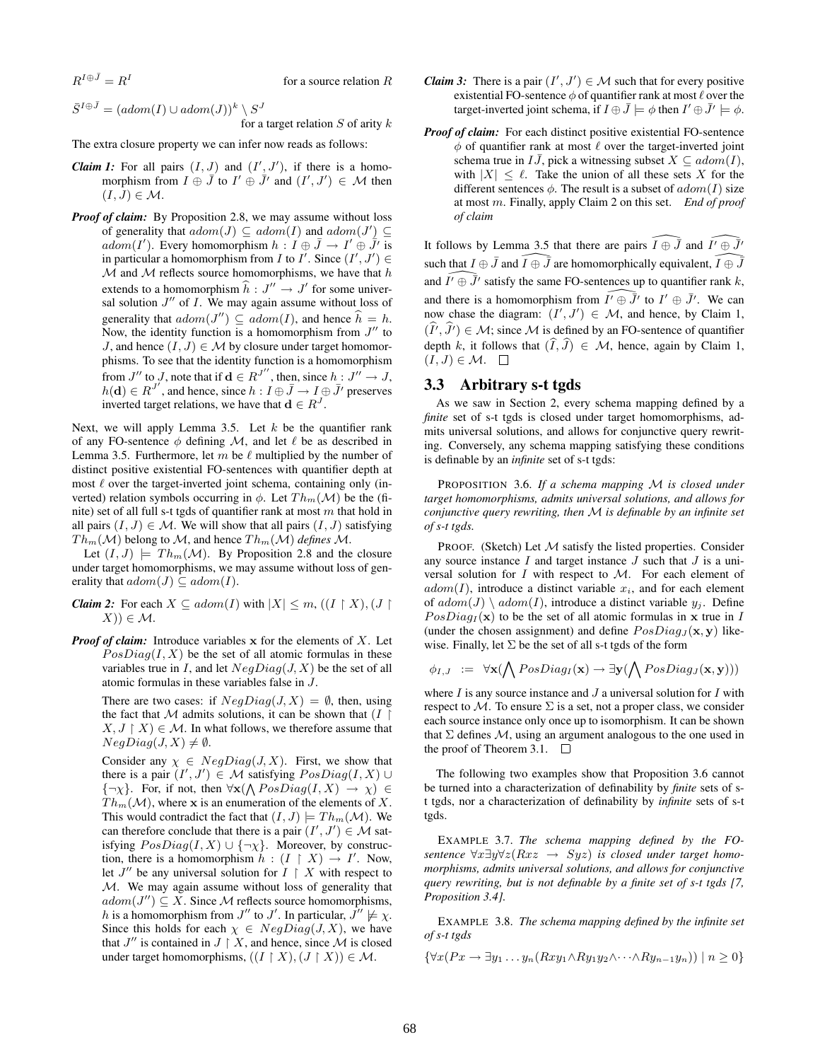$R^{I \oplus \bar J} = R^I$ 

for a source relation R

$$
\bar{S}^{I \oplus \bar{J}} = (adom(I) \cup adom(J))^k \setminus S^J
$$
  
for a target relation S of arity k

The extra closure property we can infer now reads as follows:

- *Claim 1:* For all pairs  $(I, J)$  and  $(I', J')$ , if there is a homomorphism from  $I \oplus \overline{J}$  to  $I' \oplus \overline{J}'$  and  $(I', J') \in \mathcal{M}$  then  $(I, J) \in \mathcal{M}$ .
- *Proof of claim:* By Proposition 2.8, we may assume without loss of generality that  $adom(J) \subseteq adom(I)$  and  $adom(J') \subseteq$  $adom(I')$ . Every homomorphism  $h: I \oplus \overline{J} \to I' \oplus \overline{J'}$  is in particular a homomorphism from I to I'. Since  $(I', J') \in$  $M$  and  $M$  reflects source homomorphisms, we have that  $h$ extends to a homomorphism  $\hat{h} : J'' \to J'$  for some universal solution  $J''$  of I. We may again assume without loss of generality that  $adom(J'') \subseteq adom(I)$ , and hence  $\widehat{h} = h$ . Now, the identity function is a homomorphism from  $J''$  to J, and hence  $(I, J) \in M$  by closure under target homomorphisms. To see that the identity function is a homomorphism from  $J''$  to J, note that if  $\mathbf{d} \in R^{J''}$ , then, since  $h: J'' \to J$ ,  $h(\mathbf{d}) \in R^{J'}$ , and hence, since  $h: I \oplus \overline{J} \to I \oplus \overline{J}'$  preserves inverted target relations, we have that  $\mathbf{d} \in R^{J}$ .

Next, we will apply Lemma 3.5. Let  $k$  be the quantifier rank of any FO-sentence  $\phi$  defining M, and let  $\ell$  be as described in Lemma 3.5. Furthermore, let m be  $\ell$  multiplied by the number of distinct positive existential FO-sentences with quantifier depth at most  $\ell$  over the target-inverted joint schema, containing only (inverted) relation symbols occurring in  $\phi$ . Let  $Th_m(\mathcal{M})$  be the (finite) set of all full s-t tgds of quantifier rank at most  $m$  that hold in all pairs  $(I, J) \in \mathcal{M}$ . We will show that all pairs  $(I, J)$  satisfying  $Th_m(\mathcal{M})$  belong to M, and hence  $Th_m(\mathcal{M})$  *defines* M.

Let  $(I, J)$   $\models Th_m(\mathcal{M})$ . By Proposition 2.8 and the closure under target homomorphisms, we may assume without loss of generality that  $adom(J) \subseteq adom(I)$ .

- *Claim 2:* For each  $X \subseteq adom(I)$  with  $|X| \leq m$ ,  $((I \upharpoonright X), (J \upharpoonright$  $(X)$ )  $\in \mathcal{M}$ .
- *Proof of claim:* Introduce variables x for the elements of X. Let  $PosDiag(I, X)$  be the set of all atomic formulas in these variables true in I, and let  $NeaDiag(J, X)$  be the set of all atomic formulas in these variables false in J.

There are two cases: if  $NegDiag(J, X) = \emptyset$ , then, using the fact that  $M$  admits solutions, it can be shown that  $(I \mid$  $X, J \upharpoonright X$   $\in \mathcal{M}$ . In what follows, we therefore assume that  $NegDiag(J, X) \neq \emptyset$ .

Consider any  $\chi \in NegDiag(J, X)$ . First, we show that there is a pair  $(I', J') \in \mathcal{M}$  satisfying  $PosDiag(I, X) \cup$  $\{\neg \chi\}$ . For, if not, then  $\forall \mathbf{x}(\bigwedge PosDiag(I, X) \rightarrow \chi) \in$  $Th_m(\mathcal{M})$ , where x is an enumeration of the elements of X. This would contradict the fact that  $(I, J) \models Th_m(\mathcal{M})$ . We can therefore conclude that there is a pair  $(I', J') \in \mathcal{M}$  satisfying  $PosDiag(I, X) \cup {\neg \chi}$ . Moreover, by construction, there is a homomorphism  $h : (I \upharpoonright X) \to I'$ . Now, let  $J''$  be any universal solution for  $I \restriction X$  with respect to M. We may again assume without loss of generality that  $adom(J'') \subseteq X$ . Since M reflects source homomorphisms, h is a homomorphism from  $J''$  to  $J'$ . In particular,  $J'' \not\models \chi$ . Since this holds for each  $\chi \in NegDiag(J, X)$ , we have that  $J''$  is contained in  $J \restriction X$ , and hence, since  $\mathcal M$  is closed under target homomorphisms,  $((I \upharpoonright X), (J \upharpoonright X)) \in \mathcal{M}$ .

- *Claim 3:* There is a pair  $(I', J') \in M$  such that for every positive existential FO-sentence  $\phi$  of quantifier rank at most  $\ell$  over the target-inverted joint schema, if  $I \oplus \bar{J} \models \phi$  then  $I' \oplus \bar{J'} \models \phi$ .
- *Proof of claim:* For each distinct positive existential FO-sentence  $\phi$  of quantifier rank at most  $\ell$  over the target-inverted joint schema true in  $I\bar{J}$ , pick a witnessing subset  $X \subseteq adom(I)$ , with  $|X| \leq \ell$ . Take the union of all these sets X for the different sentences  $\phi$ . The result is a subset of  $adom(I)$  size at most m. Finally, apply Claim 2 on this set. *End of proof of claim*

It follows by Lemma 3.5 that there are pairs  $\widehat{I\oplus J}$  and  $\widehat{I'\oplus J'}$ such that  $I \oplus \overline{J}$  and  $\widehat{I \oplus J}$  are homomorphically equivalent,  $\widehat{I \oplus J}$ and  $\widehat{I'} \oplus \overline{\overline{J}}'$  satisfy the same FO-sentences up to quantifier rank k, and there is a homomorphism from  $\widehat{I' \oplus J'}$  to  $I' \oplus J'$ . We can now chase the diagram:  $(I', J') \in \mathcal{M}$ , and hence, by Claim 1,  $(I', J') \in \mathcal{M}$ ; since  $\mathcal{M}$  is defined by an FO-sentence of quantifier depth k, it follows that  $(\widehat{I}, \widehat{J}) \in \mathcal{M}$ , hence, again by Claim 1,  $(I, J) \in \mathcal{M}$ .  $\Box$ 

### 3.3 Arbitrary s-t tgds

As we saw in Section 2, every schema mapping defined by a *finite* set of s-t tgds is closed under target homomorphisms, admits universal solutions, and allows for conjunctive query rewriting. Conversely, any schema mapping satisfying these conditions is definable by an *infinite* set of s-t tgds:

PROPOSITION 3.6. *If a schema mapping* M *is closed under target homomorphisms, admits universal solutions, and allows for conjunctive query rewriting, then* M *is definable by an infinite set of s-t tgds.*

PROOF. (Sketch) Let  $M$  satisfy the listed properties. Consider any source instance  $I$  and target instance  $J$  such that  $J$  is a universal solution for  $I$  with respect to  $M$ . For each element of  $adom(I)$ , introduce a distinct variable  $x_i$ , and for each element of  $adom(J) \setminus adom(I)$ , introduce a distinct variable  $y_j$ . Define  $PosDiag<sub>I</sub>(**x**)$  to be the set of all atomic formulas in **x** true in *I* (under the chosen assignment) and define  $PosDiag_J(\mathbf{x}, \mathbf{y})$  likewise. Finally, let  $\Sigma$  be the set of all s-t tgds of the form

$$
\phi_{I,J} := \forall \mathbf{x} (\bigwedge \text{PosDiag}_I(\mathbf{x}) \rightarrow \exists \mathbf{y} (\bigwedge \text{PosDiag}_J(\mathbf{x}, \mathbf{y})))
$$

where  $I$  is any source instance and  $J$  a universal solution for  $I$  with respect to M. To ensure  $\Sigma$  is a set, not a proper class, we consider each source instance only once up to isomorphism. It can be shown that  $\Sigma$  defines  $M$ , using an argument analogous to the one used in the proof of Theorem 3.1.  $\Box$ 

The following two examples show that Proposition 3.6 cannot be turned into a characterization of definability by *finite* sets of st tgds, nor a characterization of definability by *infinite* sets of s-t tgds.

EXAMPLE 3.7. *The schema mapping defined by the FOsentence* ∀x∃y∀z(Rxz → Syz) *is closed under target homomorphisms, admits universal solutions, and allows for conjunctive query rewriting, but is not definable by a finite set of s-t tgds [7, Proposition 3.4].*

EXAMPLE 3.8. *The schema mapping defined by the infinite set of s-t tgds*

$$
\{\forall x (Px \rightarrow \exists y_1 \ldots y_n (Rxy_1 \land Ry_1 y_2 \land \cdots \land Ry_{n-1} y_n)) \mid n \geq 0\}
$$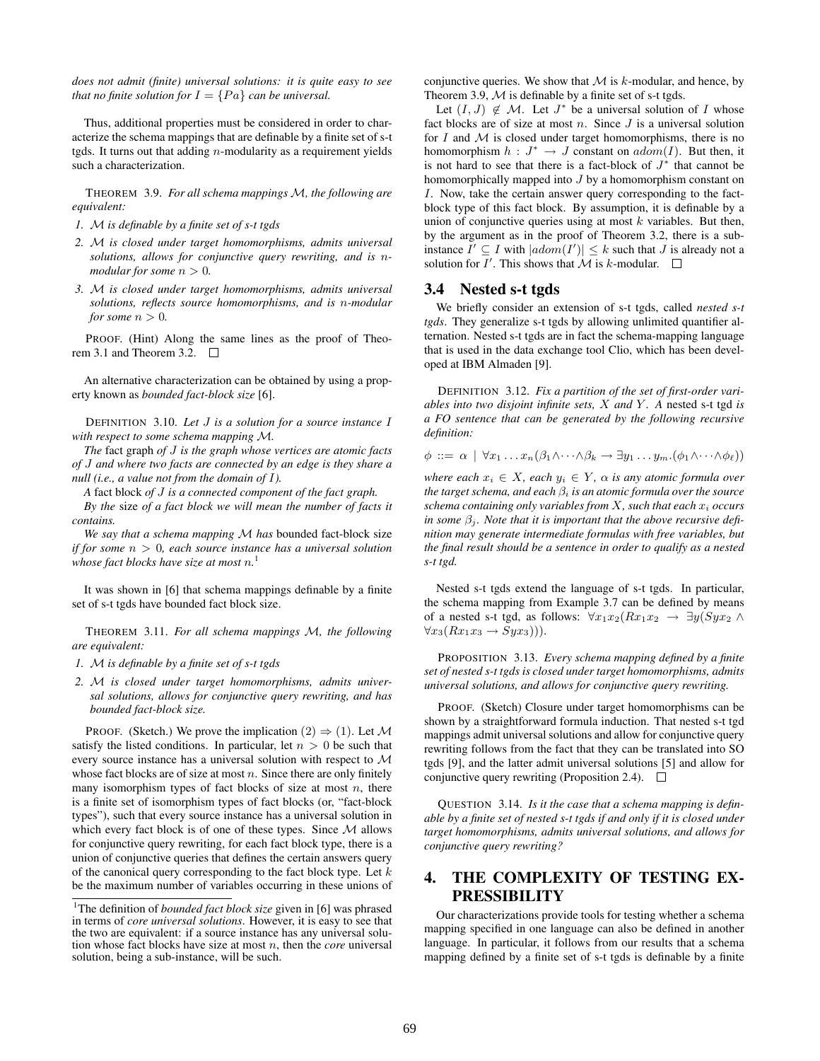*does not admit (finite) universal solutions: it is quite easy to see that no finite solution for*  $I = \{Pa\}$  *can be universal.* 

Thus, additional properties must be considered in order to characterize the schema mappings that are definable by a finite set of s-t tgds. It turns out that adding  $n$ -modularity as a requirement yields such a characterization.

THEOREM 3.9. *For all schema mappings* M*, the following are equivalent:*

- *1.* M *is definable by a finite set of s-t tgds*
- *2.* M *is closed under target homomorphisms, admits universal solutions, allows for conjunctive query rewriting, and is* n*modular for some*  $n > 0$ *.*
- *3.* M *is closed under target homomorphisms, admits universal solutions, reflects source homomorphisms, and is* n*-modular for some*  $n > 0$ *.*

PROOF. (Hint) Along the same lines as the proof of Theorem 3.1 and Theorem 3.2.  $\Box$ 

An alternative characterization can be obtained by using a property known as *bounded fact-block size* [6].

DEFINITION 3.10. *Let* J *is a solution for a source instance* I *with respect to some schema mapping* M*.*

*The* fact graph *of* J *is the graph whose vertices are atomic facts of* J *and where two facts are connected by an edge is they share a null (i.e., a value not from the domain of* I*).*

*A* fact block *of* J *is a connected component of the fact graph.*

*By the* size *of a fact block we will mean the number of facts it contains.*

*We say that a schema mapping* M *has* bounded fact-block size *if for some* n > 0*, each source instance has a universal solution whose fact blocks have size at most* n*.* 1

It was shown in [6] that schema mappings definable by a finite set of s-t tgds have bounded fact block size.

THEOREM 3.11. *For all schema mappings* M*, the following are equivalent:*

*1.* M *is definable by a finite set of s-t tgds*

*2.* M *is closed under target homomorphisms, admits universal solutions, allows for conjunctive query rewriting, and has bounded fact-block size.*

PROOF. (Sketch.) We prove the implication  $(2) \Rightarrow (1)$ . Let M satisfy the listed conditions. In particular, let  $n > 0$  be such that every source instance has a universal solution with respect to M whose fact blocks are of size at most  $n$ . Since there are only finitely many isomorphism types of fact blocks of size at most  $n$ , there is a finite set of isomorphism types of fact blocks (or, "fact-block types"), such that every source instance has a universal solution in which every fact block is of one of these types. Since  $M$  allows for conjunctive query rewriting, for each fact block type, there is a union of conjunctive queries that defines the certain answers query of the canonical query corresponding to the fact block type. Let  $k$ be the maximum number of variables occurring in these unions of

conjunctive queries. We show that  $M$  is k-modular, and hence, by Theorem 3.9,  $M$  is definable by a finite set of s-t tgds.

Let  $(I, J) \notin M$ . Let  $J^*$  be a universal solution of I whose fact blocks are of size at most  $n$ . Since  $J$  is a universal solution for  $I$  and  $M$  is closed under target homomorphisms, there is no homomorphism  $h: J^* \to J$  constant on  $adom(I)$ . But then, it is not hard to see that there is a fact-block of  $J^*$  that cannot be homomorphically mapped into J by a homomorphism constant on I. Now, take the certain answer query corresponding to the factblock type of this fact block. By assumption, it is definable by a union of conjunctive queries using at most  $k$  variables. But then, by the argument as in the proof of Theorem 3.2, there is a subinstance  $I' \subseteq I$  with  $|adom(I')| \leq k$  such that J is already not a solution for  $I'$ . This shows that  $\mathcal M$  is k-modular.

### 3.4 Nested s-t tgds

We briefly consider an extension of s-t tgds, called *nested s-t tgds*. They generalize s-t tgds by allowing unlimited quantifier alternation. Nested s-t tgds are in fact the schema-mapping language that is used in the data exchange tool Clio, which has been developed at IBM Almaden [9].

DEFINITION 3.12. *Fix a partition of the set of first-order variables into two disjoint infinite sets,* X *and* Y *. A* nested s-t tgd *is a FO sentence that can be generated by the following recursive definition:*

$$
\phi ::= \alpha \mid \forall x_1 \ldots x_n (\beta_1 \wedge \cdots \wedge \beta_k \rightarrow \exists y_1 \ldots y_m.(\phi_1 \wedge \cdots \wedge \phi_\ell))
$$

*where each*  $x_i \in X$ *, each*  $y_i \in Y$ *,*  $\alpha$  *is any atomic formula over the target schema, and each*  $\beta_i$  *is an atomic formula over the source schema containing only variables from* X*, such that each* x<sup>i</sup> *occurs in some*  $\beta_i$ *. Note that it is important that the above recursive definition may generate intermediate formulas with free variables, but the final result should be a sentence in order to qualify as a nested s-t tgd.*

Nested s-t tgds extend the language of s-t tgds. In particular, the schema mapping from Example 3.7 can be defined by means of a nested s-t tgd, as follows:  $\forall x_1x_2(Rx_1x_2 \rightarrow \exists y(Syx_2 \land$  $\forall x_3(Rx_1x_3 \rightarrow Syx_3))$ .

PROPOSITION 3.13. *Every schema mapping defined by a finite set of nested s-t tgds is closed under target homomorphisms, admits universal solutions, and allows for conjunctive query rewriting.*

PROOF. (Sketch) Closure under target homomorphisms can be shown by a straightforward formula induction. That nested s-t tgd mappings admit universal solutions and allow for conjunctive query rewriting follows from the fact that they can be translated into SO tgds [9], and the latter admit universal solutions [5] and allow for conjunctive query rewriting (Proposition 2.4).  $\Box$ 

QUESTION 3.14. *Is it the case that a schema mapping is definable by a finite set of nested s-t tgds if and only if it is closed under target homomorphisms, admits universal solutions, and allows for conjunctive query rewriting?*

# 4. THE COMPLEXITY OF TESTING EX-**PRESSIBILITY**

Our characterizations provide tools for testing whether a schema mapping specified in one language can also be defined in another language. In particular, it follows from our results that a schema mapping defined by a finite set of s-t tgds is definable by a finite

<sup>&</sup>lt;sup>1</sup>The definition of *bounded fact block size* given in [6] was phrased in terms of *core universal solutions*. However, it is easy to see that the two are equivalent: if a source instance has any universal solution whose fact blocks have size at most n, then the *core* universal solution, being a sub-instance, will be such.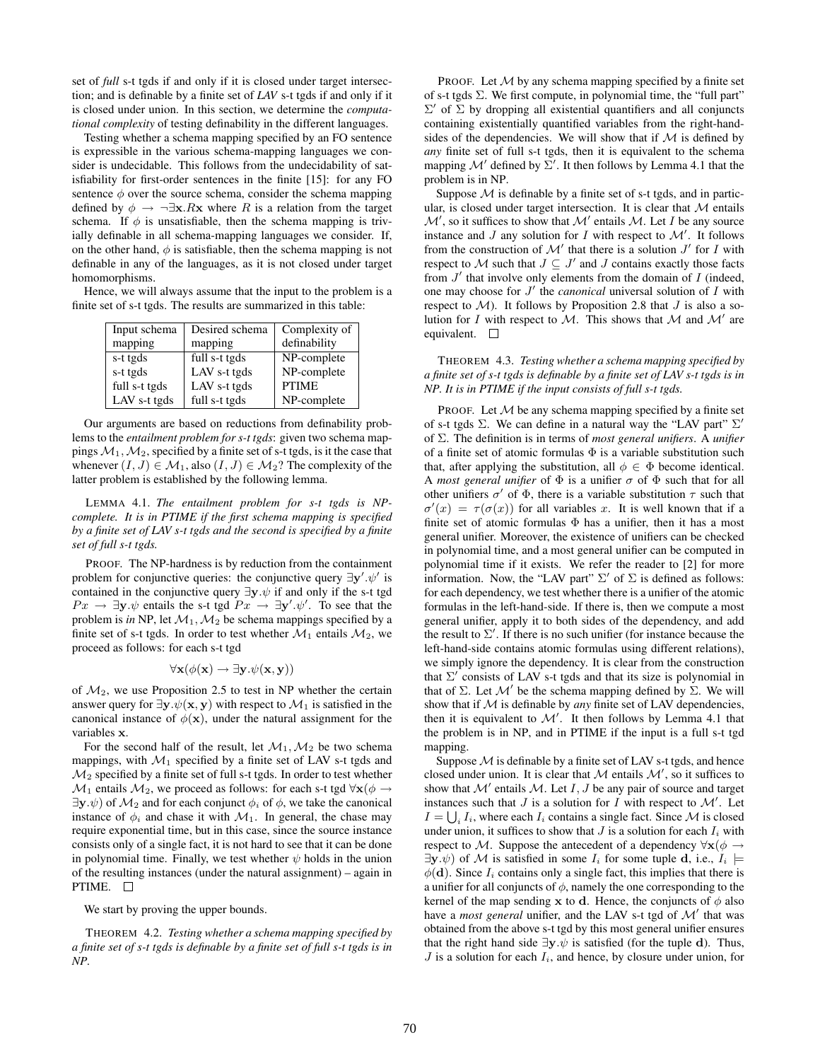set of *full* s-t tgds if and only if it is closed under target intersection; and is definable by a finite set of *LAV* s-t tgds if and only if it is closed under union. In this section, we determine the *computational complexity* of testing definability in the different languages.

Testing whether a schema mapping specified by an FO sentence is expressible in the various schema-mapping languages we consider is undecidable. This follows from the undecidability of satisfiability for first-order sentences in the finite [15]: for any FO sentence  $\phi$  over the source schema, consider the schema mapping defined by  $\phi \rightarrow \neg \exists x.Rx$  where R is a relation from the target schema. If  $\phi$  is unsatisfiable, then the schema mapping is trivially definable in all schema-mapping languages we consider. If, on the other hand,  $\phi$  is satisfiable, then the schema mapping is not definable in any of the languages, as it is not closed under target homomorphisms.

Hence, we will always assume that the input to the problem is a finite set of s-t tgds. The results are summarized in this table:

| Input schema  | Desired schema | Complexity of |
|---------------|----------------|---------------|
| mapping       | mapping        | definability  |
| s-t tgds      | full s-t tgds  | NP-complete   |
| s-t tgds      | LAV s-t tgds   | NP-complete   |
| full s-t tgds | LAV s-t tgds   | <b>PTIME</b>  |
| LAV s-t tgds  | full s-t tgds  | NP-complete   |

Our arguments are based on reductions from definability problems to the *entailment problem for s-t tgds*: given two schema mappings  $M_1, M_2$ , specified by a finite set of s-t tgds, is it the case that whenever  $(I, J) \in \mathcal{M}_1$ , also  $(I, J) \in \mathcal{M}_2$ ? The complexity of the latter problem is established by the following lemma.

LEMMA 4.1. *The entailment problem for s-t tgds is NPcomplete. It is in PTIME if the first schema mapping is specified by a finite set of LAV s-t tgds and the second is specified by a finite set of full s-t tgds.*

PROOF. The NP-hardness is by reduction from the containment problem for conjunctive queries: the conjunctive query  $\exists y'.\psi'$  is contained in the conjunctive query  $\exists y.\psi$  if and only if the s-t tgd  $Px \rightarrow \exists y \psi$  entails the s-t tgd  $Px \rightarrow \exists y' \psi'$ . To see that the problem is *in* NP, let  $\mathcal{M}_1, \mathcal{M}_2$  be schema mappings specified by a finite set of s-t tgds. In order to test whether  $\mathcal{M}_1$  entails  $\mathcal{M}_2$ , we proceed as follows: for each s-t tgd

$$
\forall \mathbf{x}(\phi(\mathbf{x}) \to \exists \mathbf{y}.\psi(\mathbf{x}, \mathbf{y}))
$$

of  $M_2$ , we use Proposition 2.5 to test in NP whether the certain answer query for  $\exists y.\psi(x, y)$  with respect to  $\mathcal{M}_1$  is satisfied in the canonical instance of  $\phi(\mathbf{x})$ , under the natural assignment for the variables x.

For the second half of the result, let  $\mathcal{M}_1, \mathcal{M}_2$  be two schema mappings, with  $\mathcal{M}_1$  specified by a finite set of LAV s-t tgds and  $\mathcal{M}_2$  specified by a finite set of full s-t tgds. In order to test whether  $\mathcal{M}_1$  entails  $\mathcal{M}_2$ , we proceed as follows: for each s-t tgd  $\forall \mathbf{x} (\phi \rightarrow \phi)$  $\exists y \psi$  of  $\mathcal{M}_2$  and for each conjunct  $\phi_i$  of  $\phi$ , we take the canonical instance of  $\phi_i$  and chase it with  $\mathcal{M}_1$ . In general, the chase may require exponential time, but in this case, since the source instance consists only of a single fact, it is not hard to see that it can be done in polynomial time. Finally, we test whether  $\psi$  holds in the union of the resulting instances (under the natural assignment) – again in PTIME.  $\square$ 

We start by proving the upper bounds.

THEOREM 4.2. *Testing whether a schema mapping specified by a finite set of s-t tgds is definable by a finite set of full s-t tgds is in NP.*

PROOF. Let  $M$  by any schema mapping specified by a finite set of s-t tgds  $\Sigma$ . We first compute, in polynomial time, the "full part"  $\Sigma'$  of  $\Sigma$  by dropping all existential quantifiers and all conjuncts containing existentially quantified variables from the right-handsides of the dependencies. We will show that if  $M$  is defined by *any* finite set of full s-t tgds, then it is equivalent to the schema mapping  $\mathcal{M}'$  defined by  $\Sigma'$ . It then follows by Lemma 4.1 that the problem is in NP.

Suppose  $M$  is definable by a finite set of s-t tgds, and in particular, is closed under target intersection. It is clear that  $M$  entails  $\mathcal{M}'$ , so it suffices to show that  $\mathcal{M}'$  entails  $\mathcal{M}$ . Let I be any source instance and  $J$  any solution for  $I$  with respect to  $\mathcal{M}'$ . It follows from the construction of  $\mathcal{M}'$  that there is a solution  $J'$  for I with respect to M such that  $J \subseteq J'$  and J contains exactly those facts from  $J'$  that involve only elements from the domain of  $I$  (indeed, one may choose for  $J'$  the *canonical* universal solution of  $I$  with respect to  $M$ ). It follows by Proposition 2.8 that  $J$  is also a solution for I with respect to M. This shows that M and M' are equivalent.  $\square$ 

THEOREM 4.3. *Testing whether a schema mapping specified by a finite set of s-t tgds is definable by a finite set of LAV s-t tgds is in NP. It is in PTIME if the input consists of full s-t tgds.*

PROOF. Let  $M$  be any schema mapping specified by a finite set of s-t tgds  $\Sigma$ . We can define in a natural way the "LAV part"  $\Sigma'$ of Σ. The definition is in terms of *most general unifiers*. A *unifier* of a finite set of atomic formulas  $\Phi$  is a variable substitution such that, after applying the substitution, all  $\phi \in \Phi$  become identical. A *most general unifier* of  $\Phi$  is a unifier  $\sigma$  of  $\Phi$  such that for all other unifiers  $\sigma'$  of  $\Phi$ , there is a variable substitution  $\tau$  such that  $\sigma'(x) = \tau(\sigma(x))$  for all variables x. It is well known that if a finite set of atomic formulas  $\Phi$  has a unifier, then it has a most general unifier. Moreover, the existence of unifiers can be checked in polynomial time, and a most general unifier can be computed in polynomial time if it exists. We refer the reader to [2] for more information. Now, the "LAV part"  $\Sigma'$  of  $\Sigma$  is defined as follows: for each dependency, we test whether there is a unifier of the atomic formulas in the left-hand-side. If there is, then we compute a most general unifier, apply it to both sides of the dependency, and add the result to  $\Sigma'$ . If there is no such unifier (for instance because the left-hand-side contains atomic formulas using different relations), we simply ignore the dependency. It is clear from the construction that  $\Sigma'$  consists of LAV s-t tgds and that its size is polynomial in that of  $\Sigma$ . Let  $\mathcal{M}'$  be the schema mapping defined by  $\Sigma$ . We will show that if M is definable by *any* finite set of LAV dependencies, then it is equivalent to  $\mathcal{M}'$ . It then follows by Lemma 4.1 that the problem is in NP, and in PTIME if the input is a full s-t tgd mapping.

Suppose  $M$  is definable by a finite set of LAV s-t tgds, and hence closed under union. It is clear that  $M$  entails  $M'$ , so it suffices to show that  $\mathcal{M}'$  entails  $\mathcal{M}$ . Let  $I, J$  be any pair of source and target instances such that  $J$  is a solution for  $I$  with respect to  $\mathcal{M}'$ . Let  $I = \bigcup_i I_i$ , where each  $I_i$  contains a single fact. Since M is closed under union, it suffices to show that  $J$  is a solution for each  $I_i$  with respect to M. Suppose the antecedent of a dependency  $\forall x (\phi \rightarrow$  $\exists y.\psi$  of M is satisfied in some  $I_i$  for some tuple d, i.e.,  $I_i \models$  $\phi(\mathbf{d})$ . Since  $I_i$  contains only a single fact, this implies that there is a unifier for all conjuncts of  $\phi$ , namely the one corresponding to the kernel of the map sending x to d. Hence, the conjuncts of  $\phi$  also have a *most general* unifier, and the LAV s-t tgd of  $\mathcal{M}'$  that was obtained from the above s-t tgd by this most general unifier ensures that the right hand side  $\exists y.\psi$  is satisfied (for the tuple d). Thus,  $J$  is a solution for each  $I_i$ , and hence, by closure under union, for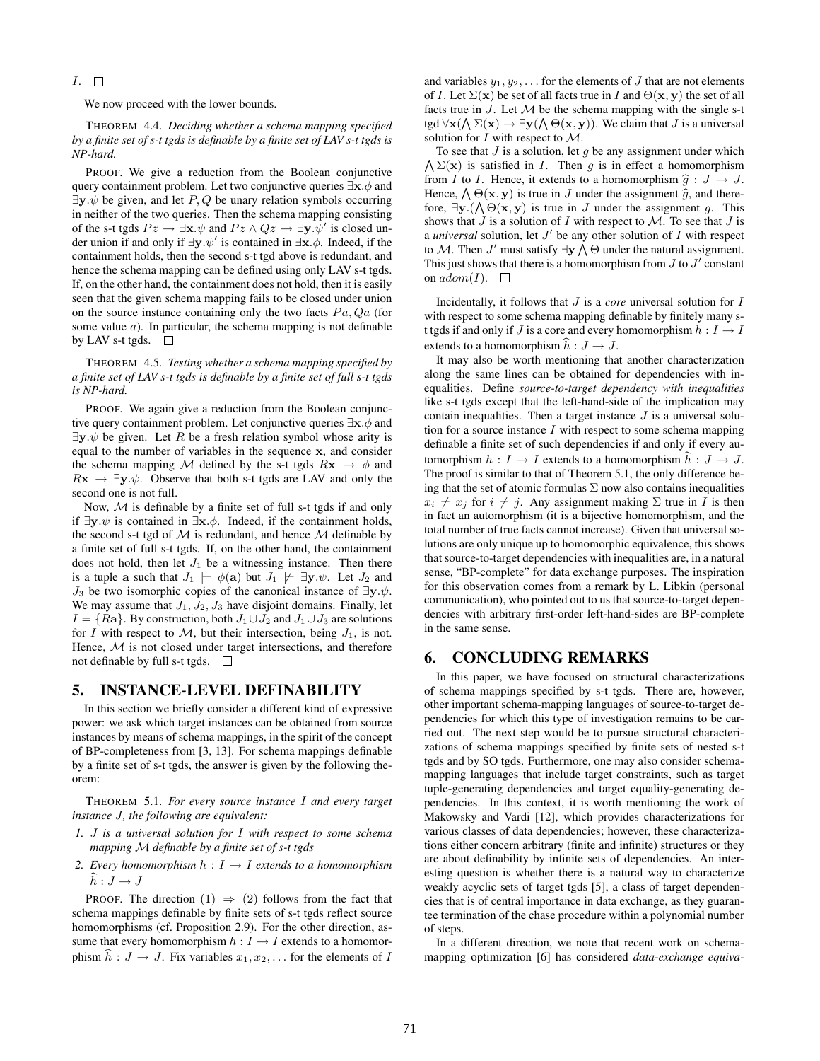### $I. \square$

We now proceed with the lower bounds.

THEOREM 4.4. *Deciding whether a schema mapping specified by a finite set of s-t tgds is definable by a finite set of LAV s-t tgds is NP-hard.*

PROOF. We give a reduction from the Boolean conjunctive query containment problem. Let two conjunctive queries  $\exists x.\phi$  and  $\exists y \psi$  be given, and let P, Q be unary relation symbols occurring in neither of the two queries. Then the schema mapping consisting of the s-t tgds  $Pz \to \exists x.\psi$  and  $Pz \wedge Qz \to \exists y.\psi'$  is closed under union if and only if  $\exists y.\psi'$  is contained in  $\exists x.\phi$ . Indeed, if the containment holds, then the second s-t tgd above is redundant, and hence the schema mapping can be defined using only LAV s-t tgds. If, on the other hand, the containment does not hold, then it is easily seen that the given schema mapping fails to be closed under union on the source instance containing only the two facts  $Pa, Qa$  (for some value  $a$ ). In particular, the schema mapping is not definable by LAV s-t tgds.  $\square$ 

THEOREM 4.5. *Testing whether a schema mapping specified by a finite set of LAV s-t tgds is definable by a finite set of full s-t tgds is NP-hard.*

PROOF. We again give a reduction from the Boolean conjunctive query containment problem. Let conjunctive queries  $\exists x.\phi$  and  $\exists y.\psi$  be given. Let R be a fresh relation symbol whose arity is equal to the number of variables in the sequence x, and consider the schema mapping M defined by the s-t tgds  $Rx \rightarrow \phi$  and  $Rx \rightarrow \exists y.\psi$ . Observe that both s-t tgds are LAV and only the second one is not full.

Now, M is definable by a finite set of full s-t tgds if and only if  $∃y.ψ$  is contained in  $∃x.φ$ . Indeed, if the containment holds, the second s-t tgd of  $M$  is redundant, and hence  $M$  definable by a finite set of full s-t tgds. If, on the other hand, the containment does not hold, then let  $J_1$  be a witnessing instance. Then there is a tuple a such that  $J_1 \models \phi(\mathbf{a})$  but  $J_1 \not\models \exists \mathbf{y}.\psi$ . Let  $J_2$  and  $J_3$  be two isomorphic copies of the canonical instance of  $\exists y.\psi$ . We may assume that  $J_1, J_2, J_3$  have disjoint domains. Finally, let  $I = \{Ra\}$ . By construction, both  $J_1 \cup J_2$  and  $J_1 \cup J_3$  are solutions for I with respect to M, but their intersection, being  $J_1$ , is not. Hence, M is not closed under target intersections, and therefore not definable by full s-t tgds.

### 5. INSTANCE-LEVEL DEFINABILITY

In this section we briefly consider a different kind of expressive power: we ask which target instances can be obtained from source instances by means of schema mappings, in the spirit of the concept of BP-completeness from [3, 13]. For schema mappings definable by a finite set of s-t tgds, the answer is given by the following theorem:

THEOREM 5.1. *For every source instance* I *and every target instance* J*, the following are equivalent:*

- *1.* J *is a universal solution for* I *with respect to some schema mapping* M *definable by a finite set of s-t tgds*
- *2. Every homomorphism*  $h: I \rightarrow I$  *extends to a homomorphism*  $\widehat{h}:J\to J$

PROOF. The direction  $(1) \Rightarrow (2)$  follows from the fact that schema mappings definable by finite sets of s-t tgds reflect source homomorphisms (cf. Proposition 2.9). For the other direction, assume that every homomorphism  $h: I \rightarrow I$  extends to a homomorphism phism  $\hat{h} : J \to J$ . Fix variables  $x_1, x_2, \ldots$  for the elements of I

and variables  $y_1, y_2, \ldots$  for the elements of J that are not elements of I. Let  $\Sigma(\mathbf{x})$  be set of all facts true in I and  $\Theta(\mathbf{x}, \mathbf{y})$  the set of all facts true in  $J$ . Let  $\mathcal M$  be the schema mapping with the single s-t tgd  $\forall$ **x**( $\bigwedge \Sigma(\mathbf{x}) \rightarrow \exists \mathbf{y} (\bigwedge \Theta(\mathbf{x}, \mathbf{y}))$ . We claim that *J* is a universal solution for  $I$  with respect to  $\mathcal{M}$ .

 $\bigwedge \Sigma(\mathbf{x})$  is satisfied in *I*. Then *g* is in effect a homomorphism To see that  $J$  is a solution, let  $q$  be any assignment under which from I to I. Hence, it extends to a homomorphism  $\hat{g} : J \to J$ . Hence,  $\bigwedge \Theta(\mathbf{x}, \mathbf{y})$  is true in J under the assignment  $\widehat{g}$ , and there-<br>fore  $\exists \mathbf{x}$  ( $\Lambda \Theta(\mathbf{x}, \mathbf{y})$  is true in J under the assignment  $g$ . This fore,  $\exists y. (\bigwedge \Theta(x, y)$  is true in J under the assignment g. This shows that  $J$  is a solution of  $I$  with respect to  $M$ . To see that  $J$  is a *universal* solution, let  $J'$  be any other solution of  $I$  with respect to M. Then J' must satisfy  $\exists y \wedge \Theta$  under the natural assignment. This just shows that there is a homomorphism from  $J$  to  $J'$  constant on  $adom(I)$ .  $\square$ 

Incidentally, it follows that J is a *core* universal solution for I with respect to some schema mapping definable by finitely many st tgds if and only if J is a core and every homomorphism  $h: I \to I$ extends to a homomorphism  $\hat{h} : J \to J$ .

It may also be worth mentioning that another characterization along the same lines can be obtained for dependencies with inequalities. Define *source-to-target dependency with inequalities* like s-t tgds except that the left-hand-side of the implication may contain inequalities. Then a target instance  $J$  is a universal solution for a source instance  $I$  with respect to some schema mapping definable a finite set of such dependencies if and only if every automorphism  $h: I \to I$  extends to a homomorphism  $\hat{h}: J \to J$ . The proof is similar to that of Theorem 5.1, the only difference being that the set of atomic formulas  $\Sigma$  now also contains inequalities  $x_i \neq x_j$  for  $i \neq j$ . Any assignment making  $\Sigma$  true in I is then in fact an automorphism (it is a bijective homomorphism, and the total number of true facts cannot increase). Given that universal solutions are only unique up to homomorphic equivalence, this shows that source-to-target dependencies with inequalities are, in a natural sense, "BP-complete" for data exchange purposes. The inspiration for this observation comes from a remark by L. Libkin (personal communication), who pointed out to us that source-to-target dependencies with arbitrary first-order left-hand-sides are BP-complete in the same sense.

### 6. CONCLUDING REMARKS

In this paper, we have focused on structural characterizations of schema mappings specified by s-t tgds. There are, however, other important schema-mapping languages of source-to-target dependencies for which this type of investigation remains to be carried out. The next step would be to pursue structural characterizations of schema mappings specified by finite sets of nested s-t tgds and by SO tgds. Furthermore, one may also consider schemamapping languages that include target constraints, such as target tuple-generating dependencies and target equality-generating dependencies. In this context, it is worth mentioning the work of Makowsky and Vardi [12], which provides characterizations for various classes of data dependencies; however, these characterizations either concern arbitrary (finite and infinite) structures or they are about definability by infinite sets of dependencies. An interesting question is whether there is a natural way to characterize weakly acyclic sets of target tgds [5], a class of target dependencies that is of central importance in data exchange, as they guarantee termination of the chase procedure within a polynomial number of steps.

In a different direction, we note that recent work on schemamapping optimization [6] has considered *data-exchange equiva-*